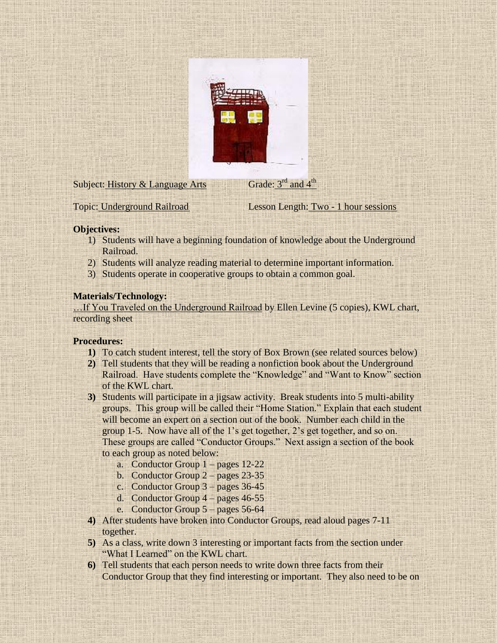

Subject: History & Language Arts

Topic: Underground Railroad Lesson Length: Two - 1 hour sessions

# **Objectives:**

1) Students will have a beginning foundation of knowledge about the Underground Railroad.

Grade:  $3<sup>rd</sup>$  and  $4<sup>th</sup>$ 

- 2) Students will analyze reading material to determine important information.
- 3) Students operate in cooperative groups to obtain a common goal.

# **Materials/Technology:**

…If You Traveled on the Underground Railroad by Ellen Levine (5 copies), KWL chart, recording sheet

### **Procedures:**

- **1)** To catch student interest, tell the story of Box Brown (see related sources below)
- **2)** Tell students that they will be reading a nonfiction book about the Underground Railroad. Have students complete the "Knowledge" and "Want to Know" section of the KWL chart.
- **3)** Students will participate in a jigsaw activity. Break students into 5 multi-ability groups. This group will be called their "Home Station." Explain that each student will become an expert on a section out of the book. Number each child in the group 1-5. Now have all of the 1's get together, 2's get together, and so on. These groups are called "Conductor Groups." Next assign a section of the book to each group as noted below:
	- a. Conductor Group 1 pages 12-22
	- b. Conductor Group 2 pages 23-35
	- c. Conductor Group 3 pages 36-45
	- d. Conductor Group 4 pages 46-55
	- e. Conductor Group 5 pages 56-64
- **4)** After students have broken into Conductor Groups, read aloud pages 7-11 together.
- **5)** As a class, write down 3 interesting or important facts from the section under "What I Learned" on the KWL chart.
- **6)** Tell students that each person needs to write down three facts from their Conductor Group that they find interesting or important. They also need to be on